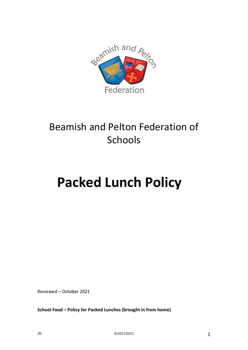

# Beamish and Pelton Federation of Schools

# **Packed Lunch Policy**

Reviewed – October 2021

**School Food – Policy for Packed Lunches (brought in from home)**

JR 9/10/11/2021 1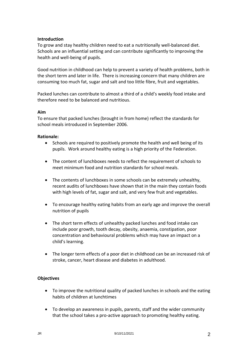# **Introduction**

To grow and stay healthy children need to eat a nutritionally well-balanced diet. Schools are an influential setting and can contribute significantly to improving the health and well-being of pupils.

Good nutrition in childhood can help to prevent a variety of health problems, both in the short term and later in life. There is increasing concern that many children are consuming too much fat, sugar and salt and too little fibre, fruit and vegetables.

Packed lunches can contribute to almost a third of a child's weekly food intake and therefore need to be balanced and nutritious.

#### **Aim**

To ensure that packed lunches (brought in from home) reflect the standards for school meals introduced in September 2006.

#### **Rationale:**

- Schools are required to positively promote the health and well being of its pupils. Work around healthy eating is a high priority of the Federation.
- The content of lunchboxes needs to reflect the requirement of schools to meet minimum food and nutrition standards for school meals.
- The contents of lunchboxes in some schools can be extremely unhealthy, recent audits of lunchboxes have shown that in the main they contain foods with high levels of fat, sugar and salt, and very few fruit and vegetables.
- To encourage healthy eating habits from an early age and improve the overall nutrition of pupils
- The short term effects of unhealthy packed lunches and food intake can include poor growth, tooth decay, obesity, anaemia, constipation, poor concentration and behavioural problems which may have an impact on a child's learning.
- The longer term effects of a poor diet in childhood can be an increased risk of stroke, cancer, heart disease and diabetes in adulthood.

#### **Objectives**

- To improve the nutritional quality of packed lunches in schools and the eating habits of children at lunchtimes
- To develop an awareness in pupils, parents, staff and the wider community that the school takes a pro-active approach to promoting healthy eating.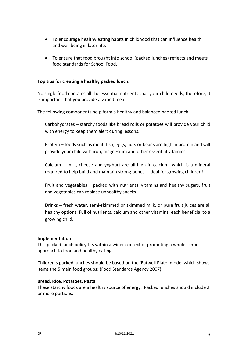- To encourage healthy eating habits in childhood that can influence health and well being in later life.
- To ensure that food brought into school (packed lunches) reflects and meets food standards for School Food.

# **Top tips for creating a healthy packed lunch:**

No single food contains all the essential nutrients that your child needs; therefore, it is important that you provide a varied meal.

The following components help form a healthy and balanced packed lunch:

Carbohydrates – starchy foods like bread rolls or potatoes will provide your child with energy to keep them alert during lessons.

Protein – foods such as meat, fish, eggs, nuts or beans are high in protein and will provide your child with iron, magnesium and other essential vitamins.

Calcium – milk, cheese and yoghurt are all high in calcium, which is a mineral required to help build and maintain strong bones – ideal for growing children!

Fruit and vegetables – packed with nutrients, vitamins and healthy sugars, fruit and vegetables can replace unhealthy snacks.

Drinks – fresh water, semi-skimmed or skimmed milk, or pure fruit juices are all healthy options. Full of nutrients, calcium and other vitamins; each beneficial to a growing child.

#### **Implementation**

This packed lunch policy fits within a wider context of promoting a whole school approach to food and healthy eating.

Children's packed lunches should be based on the 'Eatwell Plate' model which shows items the 5 main food groups; (Food Standards Agency 2007);

#### **Bread, Rice, Potatoes, Pasta**

These starchy foods are a healthy source of energy. Packed lunches should include 2 or more portions.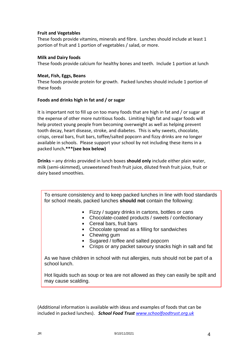#### **Fruit and Vegetables**

These foods provide vitamins, minerals and fibre. Lunches should include at least 1 portion of fruit and 1 portion of vegetables / salad, or more.

#### **Milk and Dairy foods**

These foods provide calcium for healthy bones and teeth. Include 1 portion at lunch

#### **Meat, Fish, Eggs, Beans**

These foods provide protein for growth. Packed lunches should include 1 portion of these foods

# **Foods and drinks high in fat and / or sugar**

It is important not to fill up on too many foods that are high in fat and / or sugar at the expense of other more nutritious foods. Limiting high fat and sugar foods will help protect young people from becoming overweight as well as helping prevent tooth decay, heart disease, stroke, and diabetes. This is why sweets, chocolate, crisps, cereal bars, fruit bars, toffee/salted popcorn and fizzy drinks are no longer available in schools. Please support your school by not including these items in a packed lunch**.\*\*\*(see box below)**

**Drinks –** any drinks provided in lunch boxes **should only** include either plain water, milk (semi-skimmed), unsweetened fresh fruit juice, diluted fresh fruit juice, fruit or dairy based smoothies.

To ensure consistency and to keep packed lunches in line with food standards for school meals, packed lunches **should not** contain the following:

- **Fizzy / sugary drinks in cartons, bottles or cans**
- Chocolate-coated products / sweets / confectionary
- **Cereal bars, fruit bars**
- Chocolate spread as a filling for sandwiches
- Chewing gum
- Sugared / toffee and salted popcorn
- Crisps or any packet savoury snacks high in salt and fat

As we have children in school with nut allergies, nuts should not be part of a school lunch.

Hot liquids such as soup or tea are not allowed as they can easily be spilt and may cause scalding.

(Additional information is available with ideas and examples of foods that can be included in packed lunches).*School Food Trust [www.schoolfoodtrust.org.uk](http://www.schoolfoodtrust.org.uk/)*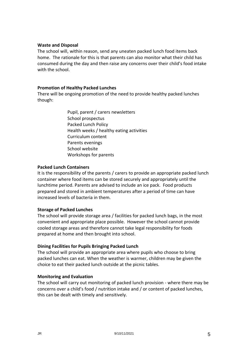#### **Waste and Disposal**

The school will, within reason, send any uneaten packed lunch food items back home. The rationale for this is that parents can also monitor what their child has consumed during the day and then raise any concerns over their child's food intake with the school.

#### **Promotion of Healthy Packed Lunches**

There will be ongoing promotion of the need to provide healthy packed lunches though:

> Pupil, parent / carers newsletters School prospectus Packed Lunch Policy Health weeks / healthy eating activities Curriculum content Parents evenings School website Workshops for parents

#### **Packed Lunch Containers**

It is the responsibility of the parents / carers to provide an appropriate packed lunch container where food items can be stored securely and appropriately until the lunchtime period. Parents are advised to include an ice pack. Food products prepared and stored in ambient temperatures after a period of time can have increased levels of bacteria in them.

#### **Storage of Packed Lunches**

The school will provide storage area / facilities for packed lunch bags, in the most convenient and appropriate place possible. However the school cannot provide cooled storage areas and therefore cannot take legal responsibility for foods prepared at home and then brought into school.

#### **Dining Facilities for Pupils Bringing Packed Lunch**

The school will provide an appropriate area where pupils who choose to bring packed lunches can eat. When the weather is warmer, children may be given the choice to eat their packed lunch outside at the picnic tables.

#### **Monitoring and Evaluation**

The school will carry out monitoring of packed lunch provision - where there may be concerns over a child's food / nutrition intake and / or content of packed lunches, this can be dealt with timely and sensitively.